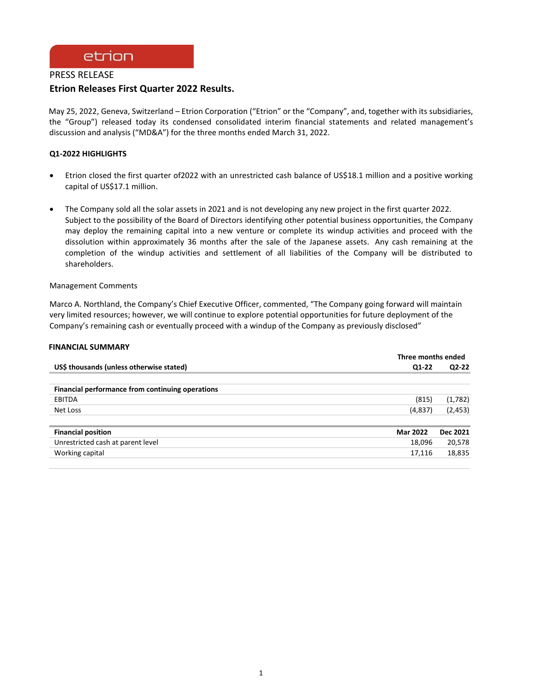# etrion

# PRESS RELEASE **Etrion Releases First Quarter 2022 Results.**

May 25, 2022, Geneva, Switzerland – Etrion Corporation ("Etrion" or the "Company", and, together with its subsidiaries, the "Group") released today its condensed consolidated interim financial statements and related management's discussion and analysis ("MD&A") for the three months ended March 31, 2022.

## **Q1-2022 HIGHLIGHTS**

- Etrion closed the first quarter of2022 with an unrestricted cash balance of US\$18.1 million and a positive working capital of US\$17.1 million.
- The Company sold all the solar assets in 2021 and is not developing any new project in the first quarter 2022. Subject to the possibility of the Board of Directors identifying other potential business opportunities, the Company may deploy the remaining capital into a new venture or complete its windup activities and proceed with the dissolution within approximately 36 months after the sale of the Japanese assets. Any cash remaining at the completion of the windup activities and settlement of all liabilities of the Company will be distributed to shareholders.

## Management Comments

Marco A. Northland, the Company's Chief Executive Officer, commented, "The Company going forward will maintain very limited resources; however, we will continue to explore potential opportunities for future deployment of the Company's remaining cash or eventually proceed with a windup of the Company as previously disclosed"

## **FINANCIAL SUMMARY**

|                                                  | Three months ended |          |
|--------------------------------------------------|--------------------|----------|
| US\$ thousands (unless otherwise stated)         | Q1-22              | $Q2-22$  |
|                                                  |                    |          |
| Financial performance from continuing operations |                    |          |
| EBITDA                                           | (815)              | (1,782)  |
| Net Loss                                         | (4,837)            | (2, 453) |
| <b>Financial position</b>                        | <b>Mar 2022</b>    | Dec 2021 |
| Unrestricted cash at parent level                | 18,096             | 20,578   |
| Working capital                                  | 17,116             | 18,835   |
|                                                  |                    |          |